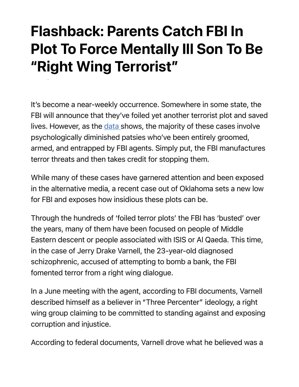## Flashback: Parents Catch FBI In Plot To Force Mentally Ill Son To Be "Right Wing Terrorist"

It's become a near-weekly occurrence. Somewhere in some state, the FBI will announce that they've foiled yet another terrorist plot and saved lives. However, as the data shows, the majority of these cases involve psychologically diminished patsies who've been entirely groomed, armed, and entrapped by FBI agents. Simply put, the FBI manufactures terror threats and then takes credit for stopping them.

While many of these cases have garnered attention and been exposed in the alternative media, a recent case out of Oklahoma sets a new low for FBI and exposes how insidious these plots can be.

Through the hundreds of 'foiled terror plots' the FBI has 'busted' over the years, many of them have been focused on people of Middle Eastern descent or people associated with ISIS or Al Qaeda. This time, in the case of Jerry Drake Varnell, the 23-year-old diagnosed schizophrenic, accused of attempting to bomb a bank, the FBI fomented terror from a right wing dialogue.

In a June meeting with the agent, according to FBI documents, Varnell described himself as a believer in "Three Percenter" ideology, a right wing group claiming to be committed to standing against and exposing corruption and injustice.

According to federal documents, Varnell drove what he believed was a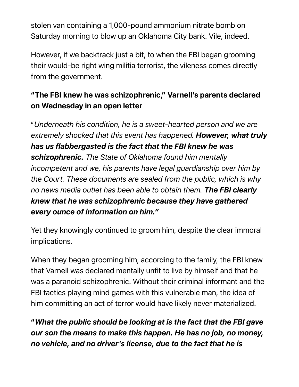stolen van containing a 1,000-pound ammonium nitrate bomb on Saturday morning to blow up an Oklahoma City bank. Vile, indeed.

However, if we backtrack just a bit, to when the FBI began grooming their would-be right wing militia terrorist, the vileness comes directly from the government.

## "The FBI knew he was schizophrenic," Varnell's parents declared on Wednesday in an open letter

"*Underneath his condition, he is a sweet-hearted person and we are extremely shocked that this event has happened. However, what truly has us flabbergasted is the fact that the FBI knew he was schizophrenic. The State of Oklahoma found him mentally incompetent and we, his parents have legal guardianship over him by the Court. These documents are sealed from the public, which is why no news media outlet has been able to obtain them. The FBI clearly knew that he was schizophrenic because they have gathered every ounce of information on him."*

Yet they knowingly continued to groom him, despite the clear immoral implications.

When they began grooming him, according to the family, the FBI knew that Varnell was declared mentally unfit to live by himself and that he was a paranoid schizophrenic. Without their criminal informant and the FBI tactics playing mind games with this vulnerable man, the idea of him committing an act of terror would have likely never materialized.

"*What the public should be looking at is the fact that the FBI gave our son the means to make this happen. He has no job, no money, no vehicle, and no driver's license, due to the fact that he is*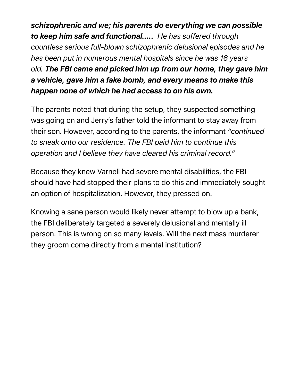*schizophrenic and we; his parents do everything we can possible to keep him safe and functional….. He has suffered through countless serious full-blown schizophrenic delusional episodes and he has been put in numerous mental hospitals since he was 16 years old. The FBI came and picked him up from our home, they gave him a vehicle, gave him a fake bomb, and every means to make this happen none of which he had access to on his own.* 

The parents noted that during the setup, they suspected something was going on and Jerry's father told the informant to stay away from their son. However, according to the parents, the informant *"continued to sneak onto our residence. The FBI paid him to continue this operation and I believe they have cleared his criminal record."*

Because they knew Varnell had severe mental disabilities, the FBI should have had stopped their plans to do this and immediately sought an option of hospitalization. However, they pressed on.

Knowing a sane person would likely never attempt to blow up a bank, the FBI deliberately targeted a severely delusional and mentally ill person. This is wrong on so many levels. Will the next mass murderer they groom come directly from a mental institution?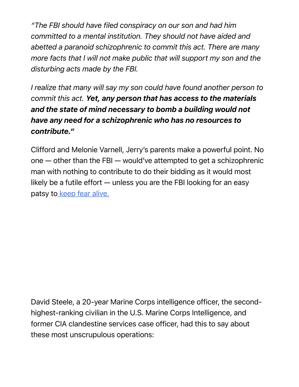*"The FBI should have filed conspiracy on our son and had him committed to a mental institution. They should not have aided and abetted a paranoid schizophrenic to commit this act. There are many more facts that I will not make public that will support my son and the disturbing acts made by the FBI.*

*I realize that many will say my son could have found another person to commit this act. Yet, any person that has access to the materials and the state of mind necessary to bomb a building would not have any need for a schizophrenic who has no resources to contribute."*

Clifford and Melonie Varnell, Jerry's parents make a powerful point. No one — other than the FBI — would've attempted to get a schizophrenic man with nothing to contribute to do their bidding as it would most likely be a futile effort — unless you are the FBI looking for an easy patsy to keep fear alive.

David Steele, a 20-year Marine Corps intelligence officer, the secondhighest-ranking civilian in the U.S. Marine Corps Intelligence, and former CIA clandestine services case officer, had this to say about these most unscrupulous operations: